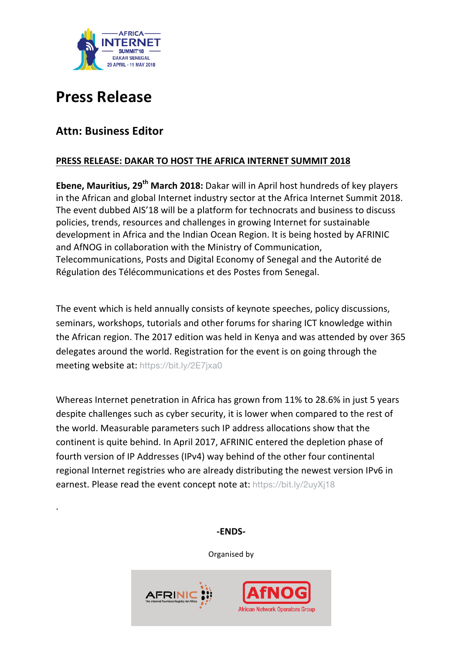

# **Press Release**

## **Attn: Business Editor**

. 

## **PRESS RELEASE: DAKAR TO HOST THE AFRICA INTERNET SUMMIT 2018**

**Ebene, Mauritius, 29<sup>th</sup> March 2018:** Dakar will in April host hundreds of key players in the African and global Internet industry sector at the Africa Internet Summit 2018. The event dubbed AIS'18 will be a platform for technocrats and business to discuss policies, trends, resources and challenges in growing Internet for sustainable development in Africa and the Indian Ocean Region. It is being hosted by AFRINIC and AfNOG in collaboration with the Ministry of Communication, Telecommunications, Posts and Digital Economy of Senegal and the Autorité de Régulation des Télécommunications et des Postes from Senegal.

The event which is held annually consists of keynote speeches, policy discussions, seminars, workshops, tutorials and other forums for sharing ICT knowledge within the African region. The 2017 edition was held in Kenya and was attended by over 365 delegates around the world. Registration for the event is on going through the meeting website at: https://bit.ly/2E7jxa0

Whereas Internet penetration in Africa has grown from 11% to 28.6% in just 5 years despite challenges such as cyber security, it is lower when compared to the rest of the world. Measurable parameters such IP address allocations show that the continent is quite behind. In April 2017, AFRINIC entered the depletion phase of fourth version of IP Addresses (IPv4) way behind of the other four continental regional Internet registries who are already distributing the newest version IPv6 in earnest. Please read the event concept note at: https://bit.ly/2uyXj18

**-ENDS-**

Organised by